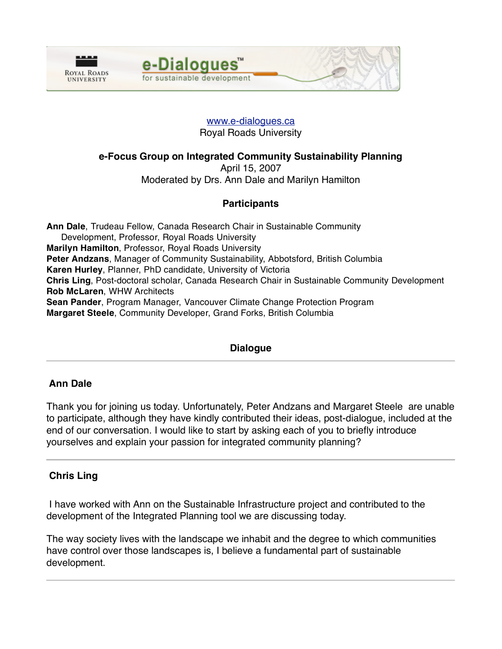

### www.e-dialogues.ca Royal Roads University

### **e-Focus Group on Integrated Community Sustainability Planning**

April 15, 2007

### Moderated by Drs. Ann Dale and Marilyn Hamilton

# **Participants**

**Ann Dale**, Trudeau Fellow, Canada Research Chair in Sustainable Community Development, Professor, Royal Roads University **Marilyn Hamilton**, Professor, Royal Roads University **Peter Andzans**, Manager of Community Sustainability, Abbotsford, British Columbia **Karen Hurley**, Planner, PhD candidate, University of Victoria **Chris Ling**, Post-doctoral scholar, Canada Research Chair in Sustainable Community Development **Rob McLaren**, WHW Architects **Sean Pander**, Program Manager, Vancouver Climate Change Protection Program **Margaret Steele**, Community Developer, Grand Forks, British Columbia

## **Dialogue**

### **Ann Dale**

Thank you for joining us today. Unfortunately, Peter Andzans and Margaret Steele are unable to participate, although they have kindly contributed their ideas, post-dialogue, included at the end of our conversation. I would like to start by asking each of you to briefly introduce yourselves and explain your passion for integrated community planning?

### **Chris Ling**

I have worked with Ann on the Sustainable Infrastructure project and contributed to the development of the Integrated Planning tool we are discussing today.

The way society lives with the landscape we inhabit and the degree to which communities have control over those landscapes is, I believe a fundamental part of sustainable development.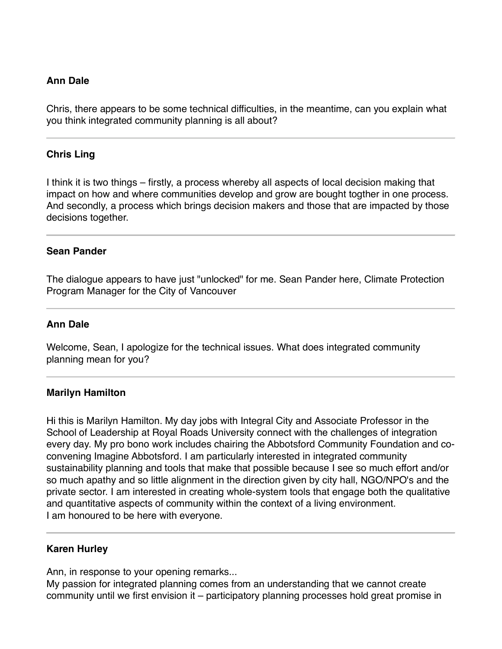### **Ann Dale**

Chris, there appears to be some technical difficulties, in the meantime, can you explain what you think integrated community planning is all about?

#### **Chris Ling**

I think it is two things – firstly, a process whereby all aspects of local decision making that impact on how and where communities develop and grow are bought togther in one process. And secondly, a process which brings decision makers and those that are impacted by those decisions together.

### **Sean Pander**

The dialogue appears to have just "unlocked" for me. Sean Pander here, Climate Protection Program Manager for the City of Vancouver

#### **Ann Dale**

Welcome, Sean, I apologize for the technical issues. What does integrated community planning mean for you?

#### **Marilyn Hamilton**

Hi this is Marilyn Hamilton. My day jobs with Integral City and Associate Professor in the School of Leadership at Royal Roads University connect with the challenges of integration every day. My pro bono work includes chairing the Abbotsford Community Foundation and coconvening Imagine Abbotsford. I am particularly interested in integrated community sustainability planning and tools that make that possible because I see so much effort and/or so much apathy and so little alignment in the direction given by city hall, NGO/NPO's and the private sector. I am interested in creating whole-system tools that engage both the qualitative and quantitative aspects of community within the context of a living environment. I am honoured to be here with everyone.

### **Karen Hurley**

Ann, in response to your opening remarks...

My passion for integrated planning comes from an understanding that we cannot create community until we first envision it – participatory planning processes hold great promise in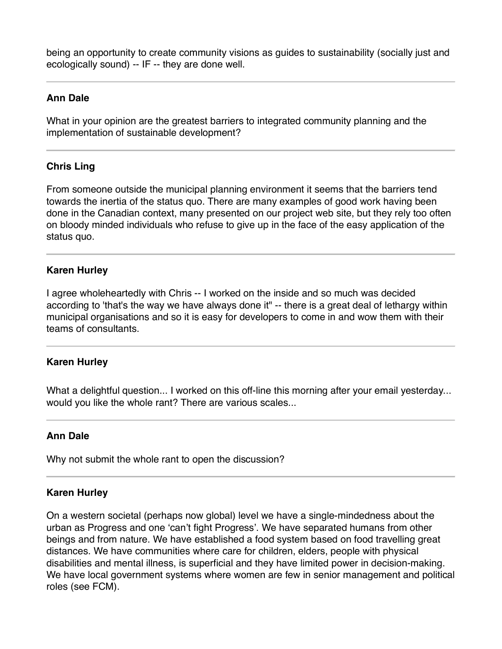being an opportunity to create community visions as guides to sustainability (socially just and ecologically sound) -- IF -- they are done well.

### **Ann Dale**

What in your opinion are the greatest barriers to integrated community planning and the implementation of sustainable development?

## **Chris Ling**

From someone outside the municipal planning environment it seems that the barriers tend towards the inertia of the status quo. There are many examples of good work having been done in the Canadian context, many presented on our project web site, but they rely too often on bloody minded individuals who refuse to give up in the face of the easy application of the status quo.

## **Karen Hurley**

I agree wholeheartedly with Chris -- I worked on the inside and so much was decided according to 'that's the way we have always done it" -- there is a great deal of lethargy within municipal organisations and so it is easy for developers to come in and wow them with their teams of consultants.

## **Karen Hurley**

What a delightful question... I worked on this off-line this morning after your email yesterday... would you like the whole rant? There are various scales...

### **Ann Dale**

Why not submit the whole rant to open the discussion?

### **Karen Hurley**

On a western societal (perhaps now global) level we have a single-mindedness about the urban as Progress and one 'can't fight Progress'. We have separated humans from other beings and from nature. We have established a food system based on food travelling great distances. We have communities where care for children, elders, people with physical disabilities and mental illness, is superficial and they have limited power in decision-making. We have local government systems where women are few in senior management and political roles (see FCM).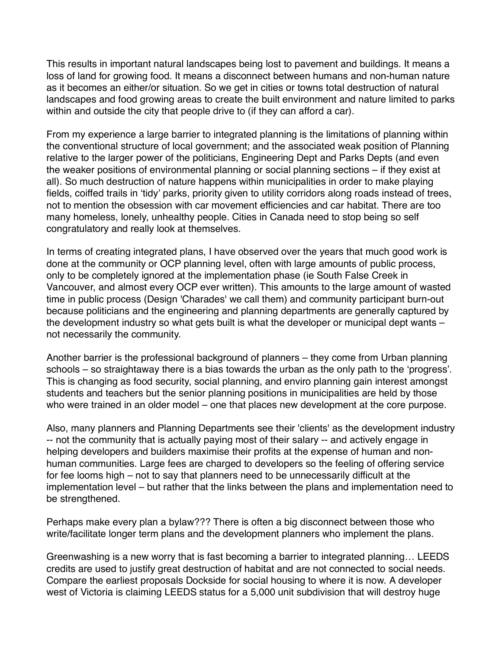This results in important natural landscapes being lost to pavement and buildings. It means a loss of land for growing food. It means a disconnect between humans and non-human nature as it becomes an either/or situation. So we get in cities or towns total destruction of natural landscapes and food growing areas to create the built environment and nature limited to parks within and outside the city that people drive to (if they can afford a car).

From my experience a large barrier to integrated planning is the limitations of planning within the conventional structure of local government; and the associated weak position of Planning relative to the larger power of the politicians, Engineering Dept and Parks Depts (and even the weaker positions of environmental planning or social planning sections – if they exist at all). So much destruction of nature happens within municipalities in order to make playing fields, coiffed trails in 'tidy' parks, priority given to utility corridors along roads instead of trees, not to mention the obsession with car movement efficiencies and car habitat. There are too many homeless, lonely, unhealthy people. Cities in Canada need to stop being so self congratulatory and really look at themselves.

In terms of creating integrated plans, I have observed over the years that much good work is done at the community or OCP planning level, often with large amounts of public process, only to be completely ignored at the implementation phase (ie South False Creek in Vancouver, and almost every OCP ever written). This amounts to the large amount of wasted time in public process (Design 'Charades' we call them) and community participant burn-out because politicians and the engineering and planning departments are generally captured by the development industry so what gets built is what the developer or municipal dept wants – not necessarily the community.

Another barrier is the professional background of planners – they come from Urban planning schools – so straightaway there is a bias towards the urban as the only path to the 'progress'. This is changing as food security, social planning, and enviro planning gain interest amongst students and teachers but the senior planning positions in municipalities are held by those who were trained in an older model – one that places new development at the core purpose.

Also, many planners and Planning Departments see their 'clients' as the development industry -- not the community that is actually paying most of their salary -- and actively engage in helping developers and builders maximise their profits at the expense of human and nonhuman communities. Large fees are charged to developers so the feeling of offering service for fee looms high – not to say that planners need to be unnecessarily difficult at the implementation level – but rather that the links between the plans and implementation need to be strengthened.

Perhaps make every plan a bylaw??? There is often a big disconnect between those who write/facilitate longer term plans and the development planners who implement the plans.

Greenwashing is a new worry that is fast becoming a barrier to integrated planning… LEEDS credits are used to justify great destruction of habitat and are not connected to social needs. Compare the earliest proposals Dockside for social housing to where it is now. A developer west of Victoria is claiming LEEDS status for a 5,000 unit subdivision that will destroy huge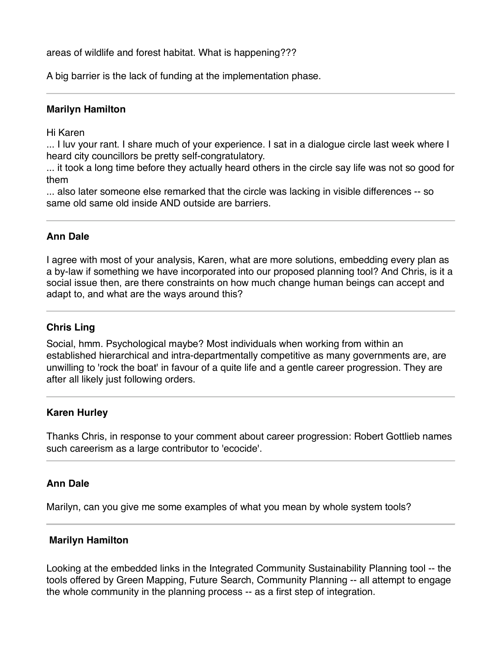areas of wildlife and forest habitat. What is happening???

A big barrier is the lack of funding at the implementation phase.

### **Marilyn Hamilton**

Hi Karen

... I luv your rant. I share much of your experience. I sat in a dialogue circle last week where I heard city councillors be pretty self-congratulatory.

... it took a long time before they actually heard others in the circle say life was not so good for them

... also later someone else remarked that the circle was lacking in visible differences -- so same old same old inside AND outside are barriers.

#### **Ann Dale**

I agree with most of your analysis, Karen, what are more solutions, embedding every plan as a by-law if something we have incorporated into our proposed planning tool? And Chris, is it a social issue then, are there constraints on how much change human beings can accept and adapt to, and what are the ways around this?

### **Chris Ling**

Social, hmm. Psychological maybe? Most individuals when working from within an established hierarchical and intra-departmentally competitive as many governments are, are unwilling to 'rock the boat' in favour of a quite life and a gentle career progression. They are after all likely just following orders.

### **Karen Hurley**

Thanks Chris, in response to your comment about career progression: Robert Gottlieb names such careerism as a large contributor to 'ecocide'.

#### **Ann Dale**

Marilyn, can you give me some examples of what you mean by whole system tools?

## **Marilyn Hamilton**

Looking at the embedded links in the Integrated Community Sustainability Planning tool -- the tools offered by Green Mapping, Future Search, Community Planning -- all attempt to engage the whole community in the planning process -- as a first step of integration.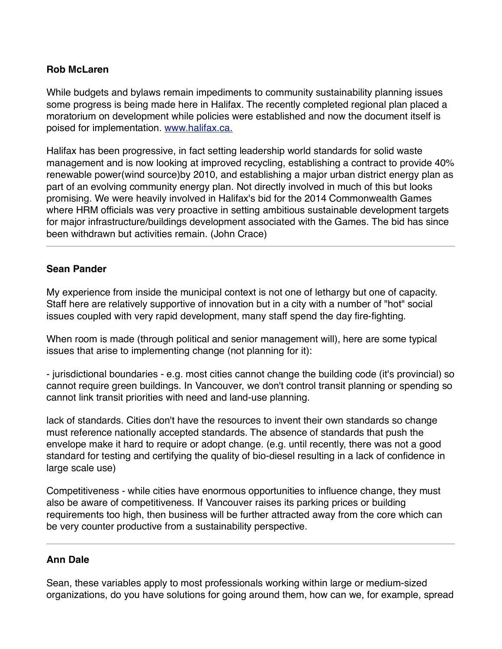## **Rob McLaren**

While budgets and bylaws remain impediments to community sustainability planning issues some progress is being made here in Halifax. The recently completed regional plan placed a moratorium on development while policies were established and now the document itself is poised for implementation. www.halifax.ca.

Halifax has been progressive, in fact setting leadership world standards for solid waste management and is now looking at improved recycling, establishing a contract to provide 40% renewable power(wind source)by 2010, and establishing a major urban district energy plan as part of an evolving community energy plan. Not directly involved in much of this but looks promising. We were heavily involved in Halifax's bid for the 2014 Commonwealth Games where HRM officials was very proactive in setting ambitious sustainable development targets for major infrastructure/buildings development associated with the Games. The bid has since been withdrawn but activities remain. (John Crace)

### **Sean Pander**

My experience from inside the municipal context is not one of lethargy but one of capacity. Staff here are relatively supportive of innovation but in a city with a number of "hot" social issues coupled with very rapid development, many staff spend the day fire-fighting.

When room is made (through political and senior management will), here are some typical issues that arise to implementing change (not planning for it):

- jurisdictional boundaries - e.g. most cities cannot change the building code (it's provincial) so cannot require green buildings. In Vancouver, we don't control transit planning or spending so cannot link transit priorities with need and land-use planning.

lack of standards. Cities don't have the resources to invent their own standards so change must reference nationally accepted standards. The absence of standards that push the envelope make it hard to require or adopt change. (e.g. until recently, there was not a good standard for testing and certifying the quality of bio-diesel resulting in a lack of confidence in large scale use)

Competitiveness - while cities have enormous opportunities to influence change, they must also be aware of competitiveness. If Vancouver raises its parking prices or building requirements too high, then business will be further attracted away from the core which can be very counter productive from a sustainability perspective.

### **Ann Dale**

Sean, these variables apply to most professionals working within large or medium-sized organizations, do you have solutions for going around them, how can we, for example, spread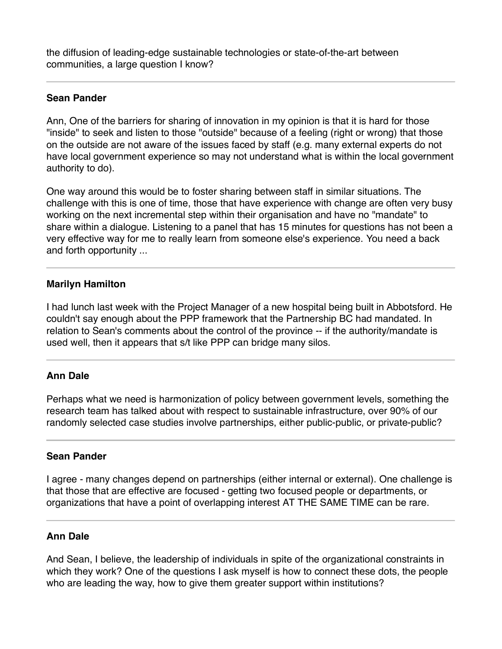the diffusion of leading-edge sustainable technologies or state-of-the-art between communities, a large question I know?

### **Sean Pander**

Ann, One of the barriers for sharing of innovation in my opinion is that it is hard for those "inside" to seek and listen to those "outside" because of a feeling (right or wrong) that those on the outside are not aware of the issues faced by staff (e.g. many external experts do not have local government experience so may not understand what is within the local government authority to do).

One way around this would be to foster sharing between staff in similar situations. The challenge with this is one of time, those that have experience with change are often very busy working on the next incremental step within their organisation and have no "mandate" to share within a dialogue. Listening to a panel that has 15 minutes for questions has not been a very effective way for me to really learn from someone else's experience. You need a back and forth opportunity ...

### **Marilyn Hamilton**

I had lunch last week with the Project Manager of a new hospital being built in Abbotsford. He couldn't say enough about the PPP framework that the Partnership BC had mandated. In relation to Sean's comments about the control of the province -- if the authority/mandate is used well, then it appears that s/t like PPP can bridge many silos.

#### **Ann Dale**

Perhaps what we need is harmonization of policy between government levels, something the research team has talked about with respect to sustainable infrastructure, over 90% of our randomly selected case studies involve partnerships, either public-public, or private-public?

### **Sean Pander**

I agree - many changes depend on partnerships (either internal or external). One challenge is that those that are effective are focused - getting two focused people or departments, or organizations that have a point of overlapping interest AT THE SAME TIME can be rare.

#### **Ann Dale**

And Sean, I believe, the leadership of individuals in spite of the organizational constraints in which they work? One of the questions I ask myself is how to connect these dots, the people who are leading the way, how to give them greater support within institutions?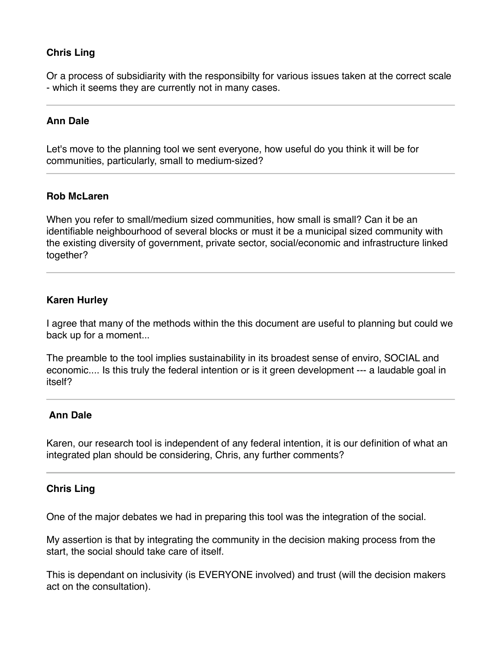## **Chris Ling**

Or a process of subsidiarity with the responsibilty for various issues taken at the correct scale - which it seems they are currently not in many cases.

### **Ann Dale**

Let's move to the planning tool we sent everyone, how useful do you think it will be for communities, particularly, small to medium-sized?

#### **Rob McLaren**

When you refer to small/medium sized communities, how small is small? Can it be an identifiable neighbourhood of several blocks or must it be a municipal sized community with the existing diversity of government, private sector, social/economic and infrastructure linked together?

### **Karen Hurley**

I agree that many of the methods within the this document are useful to planning but could we back up for a moment...

The preamble to the tool implies sustainability in its broadest sense of enviro, SOCIAL and economic.... Is this truly the federal intention or is it green development --- a laudable goal in itself?

#### **Ann Dale**

Karen, our research tool is independent of any federal intention, it is our definition of what an integrated plan should be considering, Chris, any further comments?

### **Chris Ling**

One of the major debates we had in preparing this tool was the integration of the social.

My assertion is that by integrating the community in the decision making process from the start, the social should take care of itself.

This is dependant on inclusivity (is EVERYONE involved) and trust (will the decision makers act on the consultation).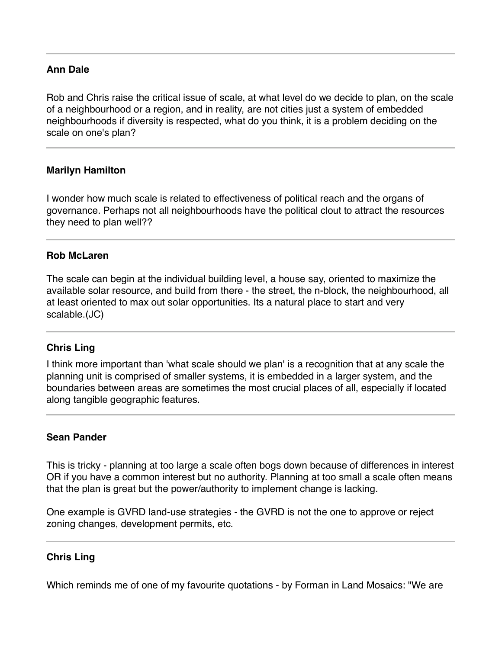### **Ann Dale**

Rob and Chris raise the critical issue of scale, at what level do we decide to plan, on the scale of a neighbourhood or a region, and in reality, are not cities just a system of embedded neighbourhoods if diversity is respected, what do you think, it is a problem deciding on the scale on one's plan?

#### **Marilyn Hamilton**

I wonder how much scale is related to effectiveness of political reach and the organs of governance. Perhaps not all neighbourhoods have the political clout to attract the resources they need to plan well??

#### **Rob McLaren**

The scale can begin at the individual building level, a house say, oriented to maximize the available solar resource, and build from there - the street, the n-block, the neighbourhood, all at least oriented to max out solar opportunities. Its a natural place to start and very scalable.(JC)

### **Chris Ling**

I think more important than 'what scale should we plan' is a recognition that at any scale the planning unit is comprised of smaller systems, it is embedded in a larger system, and the boundaries between areas are sometimes the most crucial places of all, especially if located along tangible geographic features.

#### **Sean Pander**

This is tricky - planning at too large a scale often bogs down because of differences in interest OR if you have a common interest but no authority. Planning at too small a scale often means that the plan is great but the power/authority to implement change is lacking.

One example is GVRD land-use strategies - the GVRD is not the one to approve or reject zoning changes, development permits, etc.

#### **Chris Ling**

Which reminds me of one of my favourite quotations - by Forman in Land Mosaics: "We are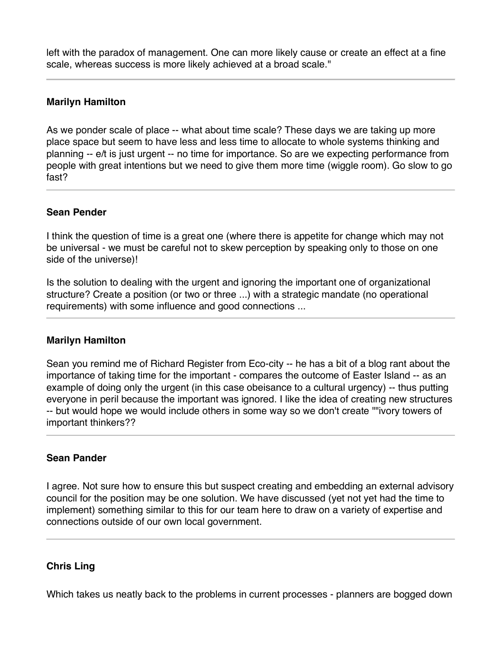left with the paradox of management. One can more likely cause or create an effect at a fine scale, whereas success is more likely achieved at a broad scale."

### **Marilyn Hamilton**

As we ponder scale of place -- what about time scale? These days we are taking up more place space but seem to have less and less time to allocate to whole systems thinking and planning -- e/t is just urgent -- no time for importance. So are we expecting performance from people with great intentions but we need to give them more time (wiggle room). Go slow to go fast?

### **Sean Pender**

I think the question of time is a great one (where there is appetite for change which may not be universal - we must be careful not to skew perception by speaking only to those on one side of the universe)!

Is the solution to dealing with the urgent and ignoring the important one of organizational structure? Create a position (or two or three ...) with a strategic mandate (no operational requirements) with some influence and good connections ...

### **Marilyn Hamilton**

Sean you remind me of Richard Register from Eco-city -- he has a bit of a blog rant about the importance of taking time for the important - compares the outcome of Easter Island -- as an example of doing only the urgent (in this case obeisance to a cultural urgency) -- thus putting everyone in peril because the important was ignored. I like the idea of creating new structures -- but would hope we would include others in some way so we don't create ""ivory towers of important thinkers??

### **Sean Pander**

I agree. Not sure how to ensure this but suspect creating and embedding an external advisory council for the position may be one solution. We have discussed (yet not yet had the time to implement) something similar to this for our team here to draw on a variety of expertise and connections outside of our own local government.

### **Chris Ling**

Which takes us neatly back to the problems in current processes - planners are bogged down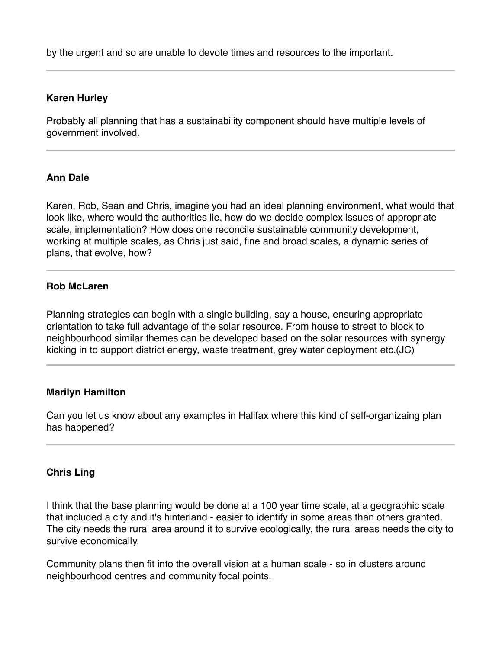by the urgent and so are unable to devote times and resources to the important.

## **Karen Hurley**

Probably all planning that has a sustainability component should have multiple levels of government involved.

### **Ann Dale**

Karen, Rob, Sean and Chris, imagine you had an ideal planning environment, what would that look like, where would the authorities lie, how do we decide complex issues of appropriate scale, implementation? How does one reconcile sustainable community development, working at multiple scales, as Chris just said, fine and broad scales, a dynamic series of plans, that evolve, how?

### **Rob McLaren**

Planning strategies can begin with a single building, say a house, ensuring appropriate orientation to take full advantage of the solar resource. From house to street to block to neighbourhood similar themes can be developed based on the solar resources with synergy kicking in to support district energy, waste treatment, grey water deployment etc.(JC)

### **Marilyn Hamilton**

Can you let us know about any examples in Halifax where this kind of self-organizaing plan has happened?

### **Chris Ling**

I think that the base planning would be done at a 100 year time scale, at a geographic scale that included a city and it's hinterland - easier to identify in some areas than others granted. The city needs the rural area around it to survive ecologically, the rural areas needs the city to survive economically.

Community plans then fit into the overall vision at a human scale - so in clusters around neighbourhood centres and community focal points.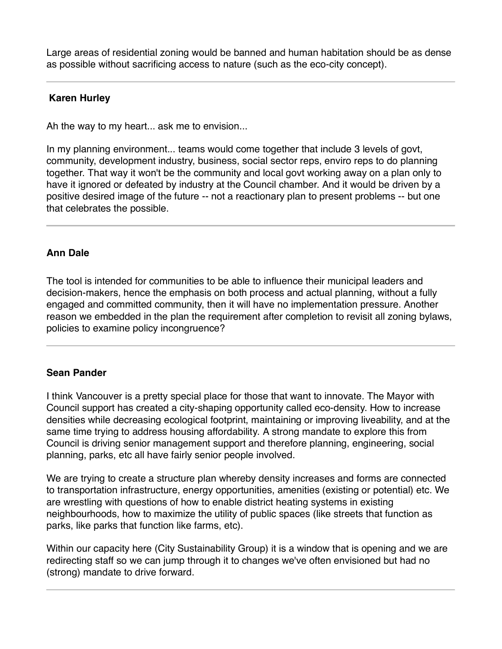Large areas of residential zoning would be banned and human habitation should be as dense as possible without sacrificing access to nature (such as the eco-city concept).

## **Karen Hurley**

Ah the way to my heart... ask me to envision...

In my planning environment... teams would come together that include 3 levels of govt, community, development industry, business, social sector reps, enviro reps to do planning together. That way it won't be the community and local govt working away on a plan only to have it ignored or defeated by industry at the Council chamber. And it would be driven by a positive desired image of the future -- not a reactionary plan to present problems -- but one that celebrates the possible.

### **Ann Dale**

The tool is intended for communities to be able to influence their municipal leaders and decision-makers, hence the emphasis on both process and actual planning, without a fully engaged and committed community, then it will have no implementation pressure. Another reason we embedded in the plan the requirement after completion to revisit all zoning bylaws, policies to examine policy incongruence?

### **Sean Pander**

I think Vancouver is a pretty special place for those that want to innovate. The Mayor with Council support has created a city-shaping opportunity called eco-density. How to increase densities while decreasing ecological footprint, maintaining or improving liveability, and at the same time trying to address housing affordability. A strong mandate to explore this from Council is driving senior management support and therefore planning, engineering, social planning, parks, etc all have fairly senior people involved.

We are trying to create a structure plan whereby density increases and forms are connected to transportation infrastructure, energy opportunities, amenities (existing or potential) etc. We are wrestling with questions of how to enable district heating systems in existing neighbourhoods, how to maximize the utility of public spaces (like streets that function as parks, like parks that function like farms, etc).

Within our capacity here (City Sustainability Group) it is a window that is opening and we are redirecting staff so we can jump through it to changes we've often envisioned but had no (strong) mandate to drive forward.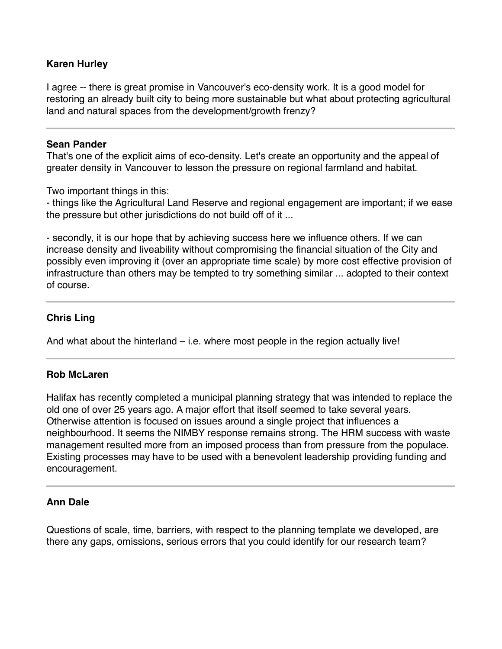## **Karen Hurley**

I agree -- there is great promise in Vancouver's eco-density work. It is a good model for restoring an already built city to being more sustainable but what about protecting agricultural land and natural spaces from the development/growth frenzy?

### **Sean Pander**

That's one of the explicit aims of eco-density. Let's create an opportunity and the appeal of greater density in Vancouver to lesson the pressure on regional farmland and habitat.

Two important things in this:

- things like the Agricultural Land Reserve and regional engagement are important; if we ease the pressure but other jurisdictions do not build off of it ...

- secondly, it is our hope that by achieving success here we influence others. If we can increase density and liveability without compromising the financial situation of the City and possibly even improving it (over an appropriate time scale) by more cost effective provision of infrastructure than others may be tempted to try something similar ... adopted to their context of course.

### **Chris Ling**

And what about the hinterland – i.e. where most people in the region actually live!

### **Rob McLaren**

Halifax has recently completed a municipal planning strategy that was intended to replace the old one of over 25 years ago. A major effort that itself seemed to take several years. Otherwise attention is focused on issues around a single project that influences a neighbourhood. It seems the NIMBY response remains strong. The HRM success with waste management resulted more from an imposed process than from pressure from the populace. Existing processes may have to be used with a benevolent leadership providing funding and encouragement.

#### **Ann Dale**

Questions of scale, time, barriers, with respect to the planning template we developed, are there any gaps, omissions, serious errors that you could identify for our research team?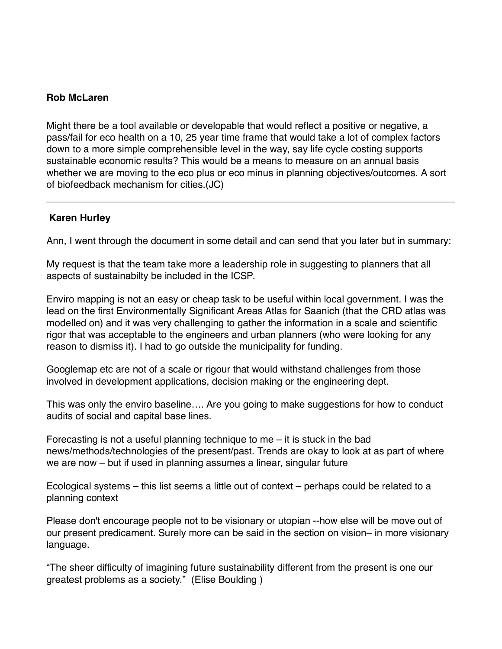### **Rob McLaren**

Might there be a tool available or developable that would reflect a positive or negative, a pass/fail for eco health on a 10, 25 year time frame that would take a lot of complex factors down to a more simple comprehensible level in the way, say life cycle costing supports sustainable economic results? This would be a means to measure on an annual basis whether we are moving to the eco plus or eco minus in planning objectives/outcomes. A sort of biofeedback mechanism for cities.(JC)

### **Karen Hurley**

Ann, I went through the document in some detail and can send that you later but in summary:

My request is that the team take more a leadership role in suggesting to planners that all aspects of sustainabilty be included in the ICSP.

Enviro mapping is not an easy or cheap task to be useful within local government. I was the lead on the first Environmentally Significant Areas Atlas for Saanich (that the CRD atlas was modelled on) and it was very challenging to gather the information in a scale and scientific rigor that was acceptable to the engineers and urban planners (who were looking for any reason to dismiss it). I had to go outside the municipality for funding.

Googlemap etc are not of a scale or rigour that would withstand challenges from those involved in development applications, decision making or the engineering dept.

This was only the enviro baseline…. Are you going to make suggestions for how to conduct audits of social and capital base lines.

Forecasting is not a useful planning technique to me – it is stuck in the bad news/methods/technologies of the present/past. Trends are okay to look at as part of where we are now – but if used in planning assumes a linear, singular future

Ecological systems – this list seems a little out of context – perhaps could be related to a planning context

Please don't encourage people not to be visionary or utopian --how else will be move out of our present predicament. Surely more can be said in the section on vision– in more visionary language.

"The sheer difficulty of imagining future sustainability different from the present is one our greatest problems as a society." (Elise Boulding )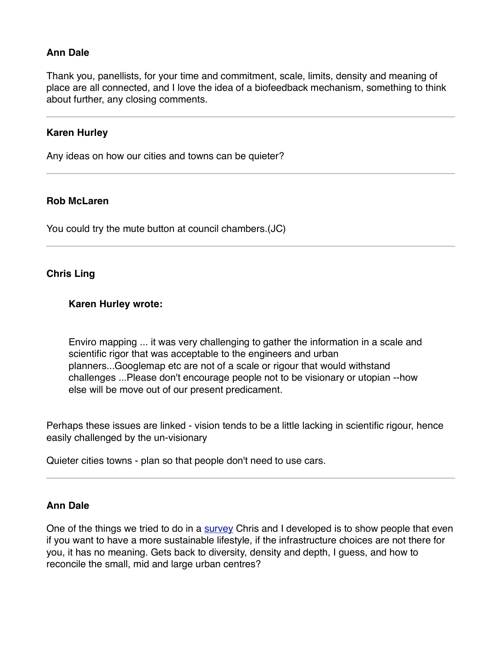### **Ann Dale**

Thank you, panellists, for your time and commitment, scale, limits, density and meaning of place are all connected, and I love the idea of a biofeedback mechanism, something to think about further, any closing comments.

#### **Karen Hurley**

Any ideas on how our cities and towns can be quieter?

#### **Rob McLaren**

You could try the mute button at council chambers.(JC)

#### **Chris Ling**

#### **Karen Hurley wrote:**

Enviro mapping ... it was very challenging to gather the information in a scale and scientific rigor that was acceptable to the engineers and urban planners...Googlemap etc are not of a scale or rigour that would withstand challenges ...Please don't encourage people not to be visionary or utopian --how else will be move out of our present predicament.

Perhaps these issues are linked - vision tends to be a little lacking in scientific rigour, hence easily challenged by the un-visionary

Quieter cities towns - plan so that people don't need to use cars.

#### **Ann Dale**

One of the things we tried to do in a survey Chris and I developed is to show people that even if you want to have a more sustainable lifestyle, if the infrastructure choices are not there for you, it has no meaning. Gets back to diversity, density and depth, I guess, and how to reconcile the small, mid and large urban centres?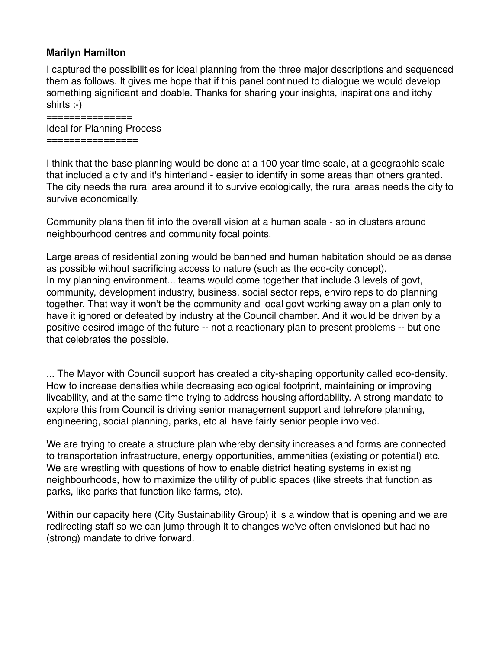### **Marilyn Hamilton**

I captured the possibilities for ideal planning from the three major descriptions and sequenced them as follows. It gives me hope that if this panel continued to dialogue we would develop something significant and doable. Thanks for sharing your insights, inspirations and itchy shirts :-)

=============== Ideal for Planning Process ================

I think that the base planning would be done at a 100 year time scale, at a geographic scale that included a city and it's hinterland - easier to identify in some areas than others granted. The city needs the rural area around it to survive ecologically, the rural areas needs the city to survive economically.

Community plans then fit into the overall vision at a human scale - so in clusters around neighbourhood centres and community focal points.

Large areas of residential zoning would be banned and human habitation should be as dense as possible without sacrificing access to nature (such as the eco-city concept). In my planning environment... teams would come together that include 3 levels of govt, community, development industry, business, social sector reps, enviro reps to do planning together. That way it won't be the community and local govt working away on a plan only to have it ignored or defeated by industry at the Council chamber. And it would be driven by a positive desired image of the future -- not a reactionary plan to present problems -- but one that celebrates the possible.

... The Mayor with Council support has created a city-shaping opportunity called eco-density. How to increase densities while decreasing ecological footprint, maintaining or improving liveability, and at the same time trying to address housing affordability. A strong mandate to explore this from Council is driving senior management support and tehrefore planning, engineering, social planning, parks, etc all have fairly senior people involved.

We are trying to create a structure plan whereby density increases and forms are connected to transportation infrastructure, energy opportunities, ammenities (existing or potential) etc. We are wrestling with questions of how to enable district heating systems in existing neighbourhoods, how to maximize the utility of public spaces (like streets that function as parks, like parks that function like farms, etc).

Within our capacity here (City Sustainability Group) it is a window that is opening and we are redirecting staff so we can jump through it to changes we've often envisioned but had no (strong) mandate to drive forward.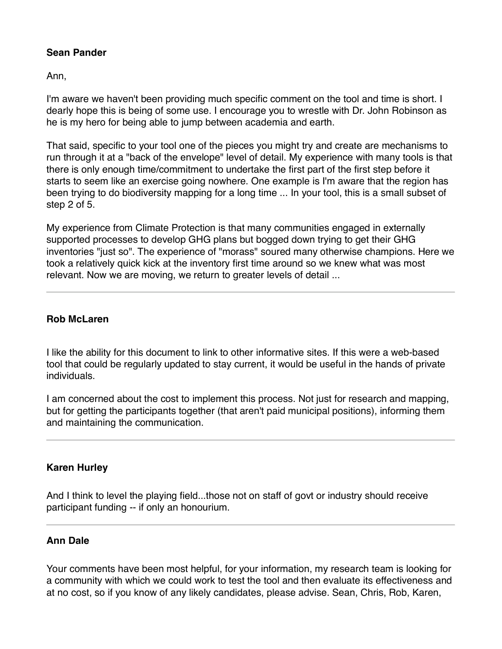## **Sean Pander**

Ann,

I'm aware we haven't been providing much specific comment on the tool and time is short. I dearly hope this is being of some use. I encourage you to wrestle with Dr. John Robinson as he is my hero for being able to jump between academia and earth.

That said, specific to your tool one of the pieces you might try and create are mechanisms to run through it at a "back of the envelope" level of detail. My experience with many tools is that there is only enough time/commitment to undertake the first part of the first step before it starts to seem like an exercise going nowhere. One example is I'm aware that the region has been trying to do biodiversity mapping for a long time ... In your tool, this is a small subset of step 2 of 5.

My experience from Climate Protection is that many communities engaged in externally supported processes to develop GHG plans but bogged down trying to get their GHG inventories "just so". The experience of "morass" soured many otherwise champions. Here we took a relatively quick kick at the inventory first time around so we knew what was most relevant. Now we are moving, we return to greater levels of detail ...

### **Rob McLaren**

I like the ability for this document to link to other informative sites. If this were a web-based tool that could be regularly updated to stay current, it would be useful in the hands of private individuals.

I am concerned about the cost to implement this process. Not just for research and mapping, but for getting the participants together (that aren't paid municipal positions), informing them and maintaining the communication.

### **Karen Hurley**

And I think to level the playing field...those not on staff of govt or industry should receive participant funding -- if only an honourium.

### **Ann Dale**

Your comments have been most helpful, for your information, my research team is looking for a community with which we could work to test the tool and then evaluate its effectiveness and at no cost, so if you know of any likely candidates, please advise. Sean, Chris, Rob, Karen,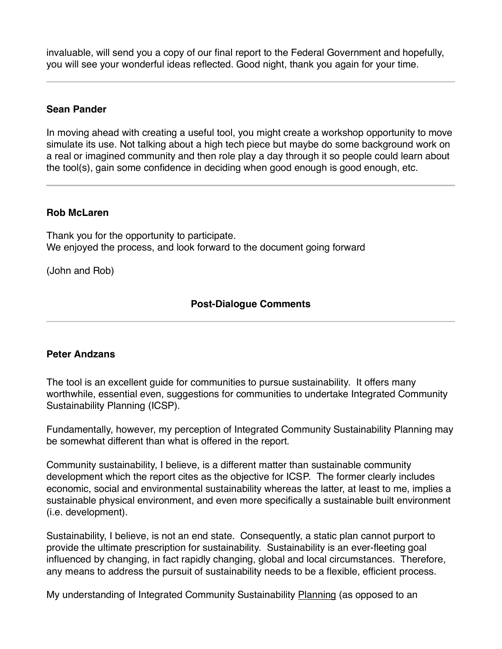invaluable, will send you a copy of our final report to the Federal Government and hopefully, you will see your wonderful ideas reflected. Good night, thank you again for your time.

### **Sean Pander**

In moving ahead with creating a useful tool, you might create a workshop opportunity to move simulate its use. Not talking about a high tech piece but maybe do some background work on a real or imagined community and then role play a day through it so people could learn about the tool(s), gain some confidence in deciding when good enough is good enough, etc.

### **Rob McLaren**

Thank you for the opportunity to participate. We enjoyed the process, and look forward to the document going forward

(John and Rob)

# **Post-Dialogue Comments**

## **Peter Andzans**

The tool is an excellent guide for communities to pursue sustainability. It offers many worthwhile, essential even, suggestions for communities to undertake Integrated Community Sustainability Planning (ICSP).

Fundamentally, however, my perception of Integrated Community Sustainability Planning may be somewhat different than what is offered in the report.

Community sustainability, I believe, is a different matter than sustainable community development which the report cites as the objective for ICSP. The former clearly includes economic, social and environmental sustainability whereas the latter, at least to me, implies a sustainable physical environment, and even more specifically a sustainable built environment (i.e. development).

Sustainability, I believe, is not an end state. Consequently, a static plan cannot purport to provide the ultimate prescription for sustainability. Sustainability is an ever-fleeting goal influenced by changing, in fact rapidly changing, global and local circumstances. Therefore, any means to address the pursuit of sustainability needs to be a flexible, efficient process.

My understanding of Integrated Community Sustainability Planning (as opposed to an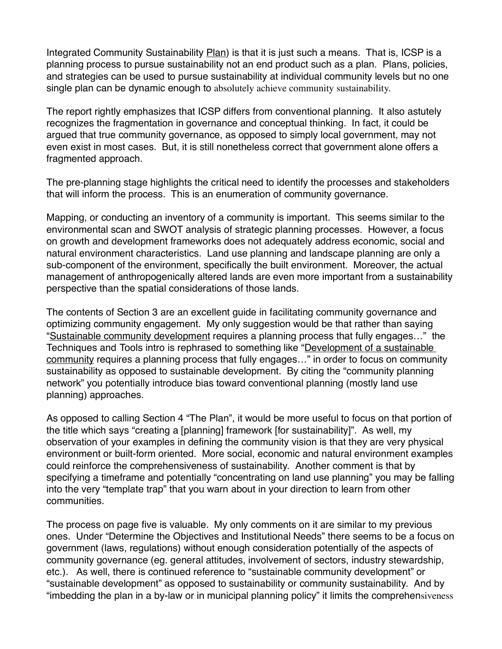Integrated Community Sustainability Plan) is that it is just such a means. That is, ICSP is a planning process to pursue sustainability not an end product such as a plan. Plans, policies, and strategies can be used to pursue sustainability at individual community levels but no one single plan can be dynamic enough to absolutely achieve community sustainability.

The report rightly emphasizes that ICSP differs from conventional planning. It also astutely recognizes the fragmentation in governance and conceptual thinking. In fact, it could be argued that true community governance, as opposed to simply local government, may not even exist in most cases. But, it is still nonetheless correct that government alone offers a fragmented approach.

The pre-planning stage highlights the critical need to identify the processes and stakeholders that will inform the process. This is an enumeration of community governance.

Mapping, or conducting an inventory of a community is important. This seems similar to the environmental scan and SWOT analysis of strategic planning processes. However, a focus on growth and development frameworks does not adequately address economic, social and natural environment characteristics. Land use planning and landscape planning are only a sub-component of the environment, specifically the built environment. Moreover, the actual management of anthropogenically altered lands are even more important from a sustainability perspective than the spatial considerations of those lands.

The contents of Section 3 are an excellent guide in facilitating community governance and optimizing community engagement. My only suggestion would be that rather than saying "Sustainable community development requires a planning process that fully engages…" the Techniques and Tools intro is rephrased to something like "Development of a sustainable community requires a planning process that fully engages…" in order to focus on community sustainability as opposed to sustainable development. By citing the "community planning network" you potentially introduce bias toward conventional planning (mostly land use planning) approaches.

As opposed to calling Section 4 "The Plan", it would be more useful to focus on that portion of the title which says "creating a [planning] framework [for sustainability]". As well, my observation of your examples in defining the community vision is that they are very physical environment or built-form oriented. More social, economic and natural environment examples could reinforce the comprehensiveness of sustainability. Another comment is that by specifying a timeframe and potentially "concentrating on land use planning" you may be falling into the very "template trap" that you warn about in your direction to learn from other communities.

The process on page five is valuable. My only comments on it are similar to my previous ones. Under "Determine the Objectives and Institutional Needs" there seems to be a focus on government (laws, regulations) without enough consideration potentially of the aspects of community governance (eg. general attitudes, involvement of sectors, industry stewardship, etc.). As well, there is continued reference to "sustainable community development" or "sustainable development" as opposed to sustainability or community sustainability. And by "imbedding the plan in a by-law or in municipal planning policy" it limits the comprehensiveness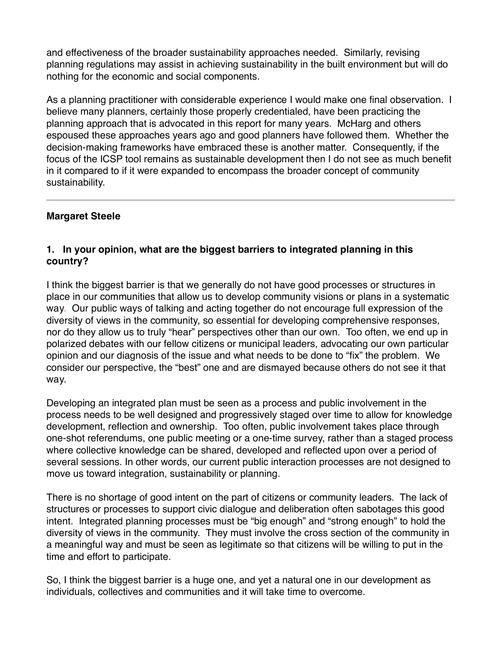and effectiveness of the broader sustainability approaches needed. Similarly, revising planning regulations may assist in achieving sustainability in the built environment but will do nothing for the economic and social components.

As a planning practitioner with considerable experience I would make one final observation. I believe many planners, certainly those properly credentialed, have been practicing the planning approach that is advocated in this report for many years. McHarg and others espoused these approaches years ago and good planners have followed them. Whether the decision-making frameworks have embraced these is another matter. Consequently, if the focus of the ICSP tool remains as sustainable development then I do not see as much benefit in it compared to if it were expanded to encompass the broader concept of community sustainability.

## **Margaret Steele**

## **1. In your opinion, what are the biggest barriers to integrated planning in this country?**

I think the biggest barrier is that we generally do not have good processes or structures in place in our communities that allow us to develop community visions or plans in a systematic way. Our public ways of talking and acting together do not encourage full expression of the diversity of views in the community, so essential for developing comprehensive responses, nor do they allow us to truly "hear" perspectives other than our own. Too often, we end up in polarized debates with our fellow citizens or municipal leaders, advocating our own particular opinion and our diagnosis of the issue and what needs to be done to "fix" the problem. We consider our perspective, the "best" one and are dismayed because others do not see it that way.

Developing an integrated plan must be seen as a process and public involvement in the process needs to be well designed and progressively staged over time to allow for knowledge development, reflection and ownership. Too often, public involvement takes place through one-shot referendums, one public meeting or a one-time survey, rather than a staged process where collective knowledge can be shared, developed and reflected upon over a period of several sessions. In other words, our current public interaction processes are not designed to move us toward integration, sustainability or planning.

There is no shortage of good intent on the part of citizens or community leaders. The lack of structures or processes to support civic dialogue and deliberation often sabotages this good intent. Integrated planning processes must be "big enough" and "strong enough" to hold the diversity of views in the community. They must involve the cross section of the community in a meaningful way and must be seen as legitimate so that citizens will be willing to put in the time and effort to participate.

So, I think the biggest barrier is a huge one, and yet a natural one in our development as individuals, collectives and communities and it will take time to overcome.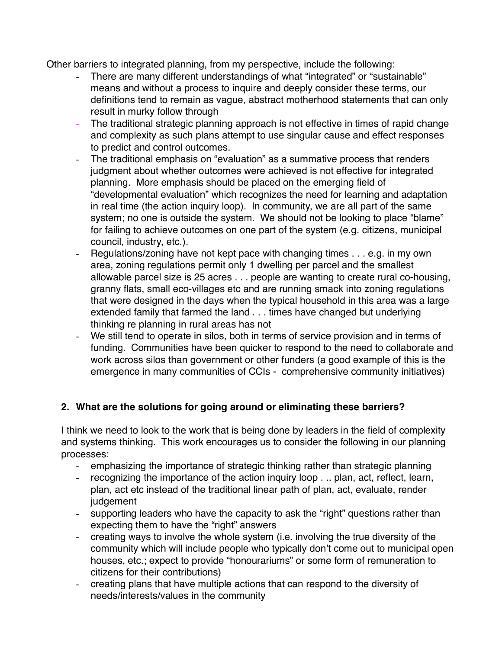Other barriers to integrated planning, from my perspective, include the following:

- There are many different understandings of what "integrated" or "sustainable" means and without a process to inquire and deeply consider these terms, our definitions tend to remain as vague, abstract motherhood statements that can only result in murky follow through
- The traditional strategic planning approach is not effective in times of rapid change and complexity as such plans attempt to use singular cause and effect responses to predict and control outcomes.
- The traditional emphasis on "evaluation" as a summative process that renders judgment about whether outcomes were achieved is not effective for integrated planning. More emphasis should be placed on the emerging field of "developmental evaluation" which recognizes the need for learning and adaptation in real time (the action inquiry loop). In community, we are all part of the same system; no one is outside the system. We should not be looking to place "blame" for failing to achieve outcomes on one part of the system (e.g. citizens, municipal council, industry, etc.).
- Regulations/zoning have not kept pace with changing times . . . e.g. in my own area, zoning regulations permit only 1 dwelling per parcel and the smallest allowable parcel size is 25 acres . . . people are wanting to create rural co-housing, granny flats, small eco-villages etc and are running smack into zoning regulations that were designed in the days when the typical household in this area was a large extended family that farmed the land . . . times have changed but underlying thinking re planning in rural areas has not
- We still tend to operate in silos, both in terms of service provision and in terms of funding. Communities have been quicker to respond to the need to collaborate and work across silos than government or other funders (a good example of this is the emergence in many communities of CCIs - comprehensive community initiatives)

## **2. What are the solutions for going around or eliminating these barriers?**

I think we need to look to the work that is being done by leaders in the field of complexity and systems thinking. This work encourages us to consider the following in our planning processes:

- emphasizing the importance of strategic thinking rather than strategic planning
- recognizing the importance of the action inquiry loop . .. plan, act, reflect, learn, plan, act etc instead of the traditional linear path of plan, act, evaluate, render judgement
- supporting leaders who have the capacity to ask the "right" questions rather than expecting them to have the "right" answers
- creating ways to involve the whole system (i.e. involving the true diversity of the community which will include people who typically don't come out to municipal open houses, etc.; expect to provide "honourariums" or some form of remuneration to citizens for their contributions)
- creating plans that have multiple actions that can respond to the diversity of needs/interests/values in the community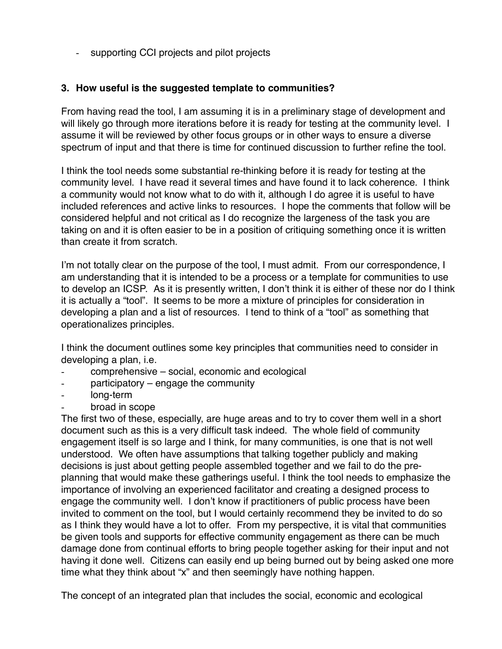- supporting CCI projects and pilot projects

# **3. How useful is the suggested template to communities?**

From having read the tool, I am assuming it is in a preliminary stage of development and will likely go through more iterations before it is ready for testing at the community level. I assume it will be reviewed by other focus groups or in other ways to ensure a diverse spectrum of input and that there is time for continued discussion to further refine the tool.

I think the tool needs some substantial re-thinking before it is ready for testing at the community level. I have read it several times and have found it to lack coherence. I think a community would not know what to do with it, although I do agree it is useful to have included references and active links to resources. I hope the comments that follow will be considered helpful and not critical as I do recognize the largeness of the task you are taking on and it is often easier to be in a position of critiquing something once it is written than create it from scratch.

I'm not totally clear on the purpose of the tool, I must admit. From our correspondence, I am understanding that it is intended to be a process or a template for communities to use to develop an ICSP. As it is presently written, I don't think it is either of these nor do I think it is actually a "tool". It seems to be more a mixture of principles for consideration in developing a plan and a list of resources. I tend to think of a "tool" as something that operationalizes principles.

I think the document outlines some key principles that communities need to consider in developing a plan, i.e.

- comprehensive social, economic and ecological
- $participatory engage the community$
- long-term
- broad in scope

The first two of these, especially, are huge areas and to try to cover them well in a short document such as this is a very difficult task indeed. The whole field of community engagement itself is so large and I think, for many communities, is one that is not well understood. We often have assumptions that talking together publicly and making decisions is just about getting people assembled together and we fail to do the preplanning that would make these gatherings useful. I think the tool needs to emphasize the importance of involving an experienced facilitator and creating a designed process to engage the community well. I don't know if practitioners of public process have been invited to comment on the tool, but I would certainly recommend they be invited to do so as I think they would have a lot to offer. From my perspective, it is vital that communities be given tools and supports for effective community engagement as there can be much damage done from continual efforts to bring people together asking for their input and not having it done well. Citizens can easily end up being burned out by being asked one more time what they think about "x" and then seemingly have nothing happen.

The concept of an integrated plan that includes the social, economic and ecological